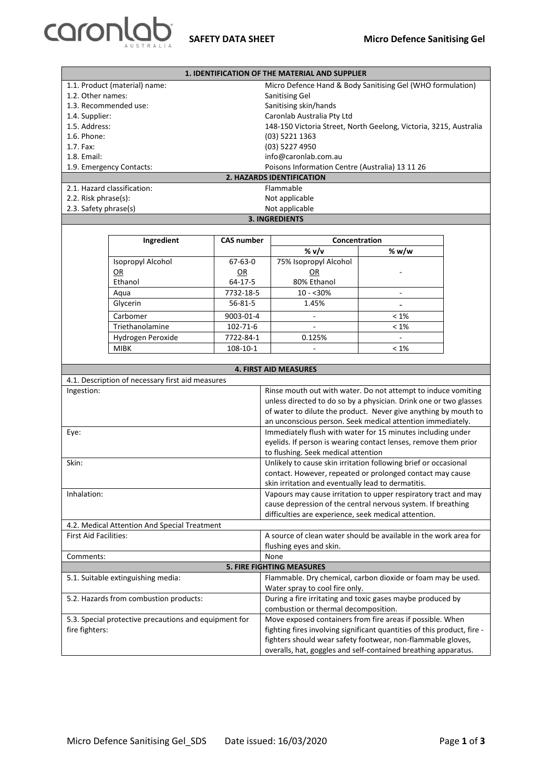

| <b>1. IDENTIFICATION OF THE MATERIAL AND SUPPLIER</b> |                                                  |                   |                                                                                                        |                     |  |  |
|-------------------------------------------------------|--------------------------------------------------|-------------------|--------------------------------------------------------------------------------------------------------|---------------------|--|--|
|                                                       | 1.1. Product (material) name:                    |                   | Micro Defence Hand & Body Sanitising Gel (WHO formulation)                                             |                     |  |  |
| 1.2. Other names:                                     |                                                  |                   | Sanitising Gel                                                                                         |                     |  |  |
|                                                       | 1.3. Recommended use:                            |                   | Sanitising skin/hands                                                                                  |                     |  |  |
| 1.4. Supplier:                                        |                                                  |                   | Caronlab Australia Pty Ltd                                                                             |                     |  |  |
| 1.5. Address:                                         |                                                  |                   | 148-150 Victoria Street, North Geelong, Victoria, 3215, Australia                                      |                     |  |  |
| 1.6. Phone:                                           |                                                  |                   | (03) 5221 1363                                                                                         |                     |  |  |
| 1.7. Fax:                                             |                                                  |                   | (03) 5227 4950                                                                                         |                     |  |  |
| 1.8. Email:                                           |                                                  |                   | info@caronlab.com.au                                                                                   |                     |  |  |
|                                                       | 1.9. Emergency Contacts:                         |                   | Poisons Information Centre (Australia) 13 11 26                                                        |                     |  |  |
| 2. HAZARDS IDENTIFICATION                             |                                                  |                   |                                                                                                        |                     |  |  |
|                                                       | 2.1. Hazard classification:                      |                   | Flammable                                                                                              |                     |  |  |
| 2.2. Risk phrase(s):                                  |                                                  |                   | Not applicable                                                                                         |                     |  |  |
| 2.3. Safety phrase(s)                                 |                                                  |                   | Not applicable                                                                                         |                     |  |  |
|                                                       |                                                  |                   | <b>3. INGREDIENTS</b>                                                                                  |                     |  |  |
|                                                       |                                                  |                   |                                                                                                        |                     |  |  |
|                                                       | Ingredient                                       | <b>CAS number</b> | Concentration                                                                                          |                     |  |  |
|                                                       |                                                  |                   | % v/v                                                                                                  | % $w/w$             |  |  |
|                                                       | Isopropyl Alcohol                                | $67 - 63 - 0$     | 75% Isopropyl Alcohol                                                                                  |                     |  |  |
|                                                       | OR                                               | QR                | OR                                                                                                     |                     |  |  |
|                                                       | Ethanol                                          | 64-17-5           | 80% Ethanol                                                                                            |                     |  |  |
|                                                       | Aqua                                             | 7732-18-5         | $10 - 30%$                                                                                             | $\bar{\phantom{a}}$ |  |  |
|                                                       | Glycerin                                         | $56 - 81 - 5$     | 1.45%                                                                                                  |                     |  |  |
|                                                       | Carbomer                                         | 9003-01-4         | $\overline{\phantom{a}}$                                                                               | $< 1\%$             |  |  |
|                                                       | Triethanolamine                                  | 102-71-6          |                                                                                                        | $< 1\%$             |  |  |
|                                                       | Hydrogen Peroxide                                | 7722-84-1         | 0.125%                                                                                                 |                     |  |  |
|                                                       | <b>MIBK</b>                                      | 108-10-1          |                                                                                                        | $< 1\%$             |  |  |
|                                                       |                                                  |                   |                                                                                                        |                     |  |  |
|                                                       |                                                  |                   | <b>4. FIRST AID MEASURES</b>                                                                           |                     |  |  |
|                                                       | 4.1. Description of necessary first aid measures |                   |                                                                                                        |                     |  |  |
| Ingestion:                                            |                                                  |                   | Rinse mouth out with water. Do not attempt to induce vomiting                                          |                     |  |  |
|                                                       |                                                  |                   | unless directed to do so by a physician. Drink one or two glasses                                      |                     |  |  |
|                                                       |                                                  |                   | of water to dilute the product. Never give anything by mouth to                                        |                     |  |  |
|                                                       |                                                  |                   | an unconscious person. Seek medical attention immediately.                                             |                     |  |  |
| Eye:                                                  |                                                  |                   | Immediately flush with water for 15 minutes including under                                            |                     |  |  |
|                                                       |                                                  |                   | eyelids. If person is wearing contact lenses, remove them prior                                        |                     |  |  |
|                                                       |                                                  |                   | to flushing. Seek medical attention<br>Unlikely to cause skin irritation following brief or occasional |                     |  |  |
| Skin:                                                 |                                                  |                   | contact. However, repeated or prolonged contact may cause                                              |                     |  |  |
|                                                       |                                                  |                   | skin irritation and eventually lead to dermatitis.                                                     |                     |  |  |
| Inhalation:                                           |                                                  |                   | Vapours may cause irritation to upper respiratory tract and may                                        |                     |  |  |
|                                                       |                                                  |                   | cause depression of the central nervous system. If breathing                                           |                     |  |  |
|                                                       |                                                  |                   | difficulties are experience, seek medical attention.                                                   |                     |  |  |
| 4.2. Medical Attention And Special Treatment          |                                                  |                   |                                                                                                        |                     |  |  |
| First Aid Facilities:                                 |                                                  |                   | A source of clean water should be available in the work area for                                       |                     |  |  |
|                                                       |                                                  |                   | flushing eyes and skin.                                                                                |                     |  |  |
| Comments:                                             |                                                  |                   | None                                                                                                   |                     |  |  |
| <b>5. FIRE FIGHTING MEASURES</b>                      |                                                  |                   |                                                                                                        |                     |  |  |
|                                                       | 5.1. Suitable extinguishing media:               |                   | Flammable. Dry chemical, carbon dioxide or foam may be used.                                           |                     |  |  |
|                                                       |                                                  |                   | Water spray to cool fire only.                                                                         |                     |  |  |
| 5.2. Hazards from combustion products:                |                                                  |                   | During a fire irritating and toxic gases maybe produced by                                             |                     |  |  |
|                                                       |                                                  |                   | combustion or thermal decomposition.                                                                   |                     |  |  |
| 5.3. Special protective precautions and equipment for |                                                  |                   | Move exposed containers from fire areas if possible. When                                              |                     |  |  |
| fire fighters:                                        |                                                  |                   | fighting fires involving significant quantities of this product, fire -                                |                     |  |  |
|                                                       |                                                  |                   | fighters should wear safety footwear, non-flammable gloves,                                            |                     |  |  |
|                                                       |                                                  |                   |                                                                                                        |                     |  |  |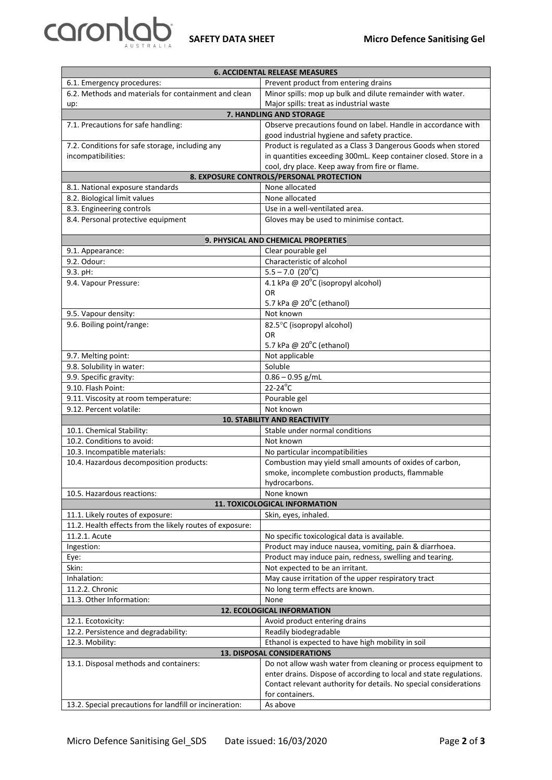

| <b>6. ACCIDENTAL RELEASE MEASURES</b>                    |                                                                    |  |  |  |  |
|----------------------------------------------------------|--------------------------------------------------------------------|--|--|--|--|
| 6.1. Emergency procedures:                               | Prevent product from entering drains                               |  |  |  |  |
| 6.2. Methods and materials for containment and clean     | Minor spills: mop up bulk and dilute remainder with water.         |  |  |  |  |
| up:                                                      | Major spills: treat as industrial waste                            |  |  |  |  |
| <b>7. HANDLING AND STORAGE</b>                           |                                                                    |  |  |  |  |
| 7.1. Precautions for safe handling:                      | Observe precautions found on label. Handle in accordance with      |  |  |  |  |
|                                                          | good industrial hygiene and safety practice.                       |  |  |  |  |
| 7.2. Conditions for safe storage, including any          | Product is regulated as a Class 3 Dangerous Goods when stored      |  |  |  |  |
| incompatibilities:                                       | in quantities exceeding 300mL. Keep container closed. Store in a   |  |  |  |  |
|                                                          | cool, dry place. Keep away from fire or flame.                     |  |  |  |  |
| 8. EXPOSURE CONTROLS/PERSONAL PROTECTION                 |                                                                    |  |  |  |  |
| None allocated<br>8.1. National exposure standards       |                                                                    |  |  |  |  |
| 8.2. Biological limit values                             | None allocated                                                     |  |  |  |  |
| 8.3. Engineering controls                                | Use in a well-ventilated area.                                     |  |  |  |  |
| 8.4. Personal protective equipment                       | Gloves may be used to minimise contact.                            |  |  |  |  |
|                                                          |                                                                    |  |  |  |  |
|                                                          | 9. PHYSICAL AND CHEMICAL PROPERTIES                                |  |  |  |  |
| 9.1. Appearance:                                         | Clear pourable gel                                                 |  |  |  |  |
| 9.2. Odour:                                              | Characteristic of alcohol                                          |  |  |  |  |
| 9.3. pH:                                                 | $5.5 - 7.0$ (20 <sup>°</sup> C)                                    |  |  |  |  |
| 9.4. Vapour Pressure:                                    | 4.1 kPa @ 20°C (isopropyl alcohol)                                 |  |  |  |  |
|                                                          | <b>OR</b>                                                          |  |  |  |  |
|                                                          | 5.7 kPa @ 20°C (ethanol)                                           |  |  |  |  |
| 9.5. Vapour density:                                     | Not known                                                          |  |  |  |  |
| 9.6. Boiling point/range:                                | 82.5°C (isopropyl alcohol)                                         |  |  |  |  |
|                                                          | OR                                                                 |  |  |  |  |
|                                                          | 5.7 kPa @ 20°C (ethanol)                                           |  |  |  |  |
| 9.7. Melting point:                                      | Not applicable                                                     |  |  |  |  |
| 9.8. Solubility in water:                                | Soluble                                                            |  |  |  |  |
| 9.9. Specific gravity:                                   | $0.86 - 0.95$ g/mL                                                 |  |  |  |  |
| 9.10. Flash Point:                                       | $22-24^{\circ}C$                                                   |  |  |  |  |
| 9.11. Viscosity at room temperature:                     | Pourable gel                                                       |  |  |  |  |
| 9.12. Percent volatile:                                  | Not known                                                          |  |  |  |  |
|                                                          | <b>10. STABILITY AND REACTIVITY</b>                                |  |  |  |  |
| 10.1. Chemical Stability:                                | Stable under normal conditions                                     |  |  |  |  |
| 10.2. Conditions to avoid:                               | Not known                                                          |  |  |  |  |
| 10.3. Incompatible materials:                            | No particular incompatibilities                                    |  |  |  |  |
| 10.4. Hazardous decomposition products:                  | Combustion may yield small amounts of oxides of carbon,            |  |  |  |  |
|                                                          | smoke, incomplete combustion products, flammable                   |  |  |  |  |
|                                                          | hydrocarbons.                                                      |  |  |  |  |
| 10.5. Hazardous reactions:                               | None known                                                         |  |  |  |  |
| 11. TOXICOLOGICAL INFORMATION                            |                                                                    |  |  |  |  |
| 11.1. Likely routes of exposure:                         | Skin, eyes, inhaled.                                               |  |  |  |  |
| 11.2. Health effects from the likely routes of exposure: |                                                                    |  |  |  |  |
| 11.2.1. Acute                                            | No specific toxicological data is available.                       |  |  |  |  |
| Ingestion:                                               | Product may induce nausea, vomiting, pain & diarrhoea.             |  |  |  |  |
| Eye:                                                     | Product may induce pain, redness, swelling and tearing.            |  |  |  |  |
| Skin:                                                    | Not expected to be an irritant.                                    |  |  |  |  |
| Inhalation:                                              | May cause irritation of the upper respiratory tract                |  |  |  |  |
| 11.2.2. Chronic                                          | No long term effects are known.                                    |  |  |  |  |
| 11.3. Other Information:                                 | None                                                               |  |  |  |  |
| 12. ECOLOGICAL INFORMATION                               |                                                                    |  |  |  |  |
| 12.1. Ecotoxicity:                                       | Avoid product entering drains                                      |  |  |  |  |
| 12.2. Persistence and degradability:                     | Readily biodegradable                                              |  |  |  |  |
| 12.3. Mobility:                                          | Ethanol is expected to have high mobility in soil                  |  |  |  |  |
|                                                          | <b>13. DISPOSAL CONSIDERATIONS</b>                                 |  |  |  |  |
| 13.1. Disposal methods and containers:                   | Do not allow wash water from cleaning or process equipment to      |  |  |  |  |
|                                                          | enter drains. Dispose of according to local and state regulations. |  |  |  |  |
|                                                          | Contact relevant authority for details. No special considerations  |  |  |  |  |
|                                                          | for containers.                                                    |  |  |  |  |
| 13.2. Special precautions for landfill or incineration:  | As above                                                           |  |  |  |  |